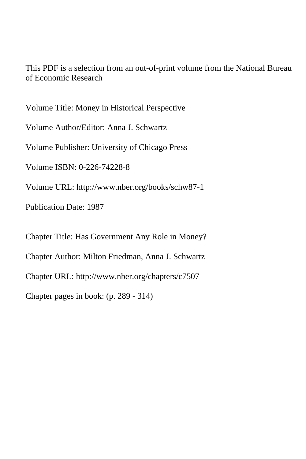This PDF is a selection from an out-of-print volume from the National Bureau of Economic Research

Volume Title: Money in Historical Perspective Volume Author/Editor: Anna J. Schwartz Volume Publisher: University of Chicago Press Volume ISBN: 0-226-74228-8 Volume URL: http://www.nber.org/books/schw87-1 Publication Date: 1987 Chapter Title: Has Government Any Role in Money?

Chapter Author: Milton Friedman, Anna J. Schwartz

Chapter URL: http://www.nber.org/chapters/c7507

Chapter pages in book: (p. 289 - 314)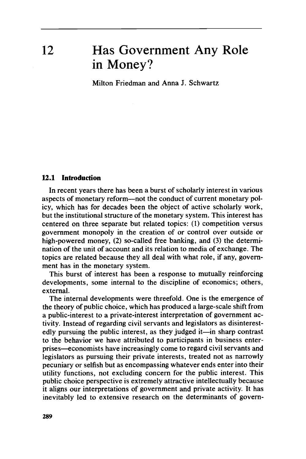# 12 Has Government Any Role in Money?

Milton Friedman and Anna J. Schwartz

## **12.1 Introduction**

In recent years there has been a burst of scholarly interest in various aspects of monetary reform-not the conduct of current monetary policy, which has for decades been the object of active scholarly work, but the institutional structure of the monetary system. This interest has centered on three separate but related topics: **(1)** competition versus government monopoly in the creation of or control over outside or high-powered money, (2) so-called free banking, and (3) the determination of the unit of account and its relation to media of exchange. The topics are related because they all deal with what role, if any, government has in the monetary system.

This burst of interest has been a response to mutually reinforcing developments, some internal to the discipline of economics; others, external.

The internal developments were threefold. One is the emergence of the theory of public choice, which has produced a large-scale shift from a public-interest to a private-interest interpretation of government activity. Instead of regarding civil servants and legislators as disinterestedly pursuing the public interest, as they judged it—in sharp contrast to the behavior we have attributed to participants in business enterprises-economists have increasingly come to regard civil servants and legislators as pursuing their private interests, treated not as narrowly pecuniary or selfish but as encompassing whatever ends enter into their utility functions, not excluding concern for the public interest. This public choice perspective is extremely attractive intellectually because it aligns our interpretations of government and private activity. It has inevitably led to extensive research on the determinants of govern-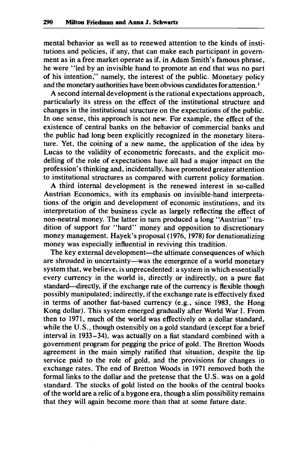mental behavior as well as to renewed attention to the kinds of institutions and policies, if any, that can make each participant in government as in a free market operate as if, in Adam Smith's famous phrase, he were "led by an invisible hand to promote an end that was no part of his intention," namely, the interest of the public. Monetary policy and the monetary authorities have been obvious candidates for attention. **<sup>1</sup>**

A second internal development is the rational expectations approach, particularly its stress on the effect of the institutional structure and changes in the institutional structure on the expectations of the public. In one sense, this approach is not new. For example, the effect of the existence of central banks on the behavior of commercial banks and the public had long been explicitly recognized in the monetary literature. Yet, the coining of a new name, the application of the idea by Lucas to the validity of econometric forecasts, and the explicit modelling of the role of expectations have all had a major impact on the profession's thinking and, incidentally, have promoted greater attention to institutional structures as compared with current policy formation.

A third internal development is the renewed interest in so-called Austrian Economics, with its emphasis on invisible-hand interpretations of the origin and development of economic institutions, and its interpretation of the business cycle as largely reflecting the effect of non-neutral money. The latter in turn produced a long "Austrian" tradition of support for "hard" money and opposition to discretionary money management. Hayek's proposal **(1976, 1978)** for denationalizing money was especially influential in reviving this tradition.

The key external development—the ultimate consequences of which are shrouded in uncertainty—was the emergence of a world monetary system that, we believe, is unprecedented: a system in which essentially every currency in the world is, directly or indirectly, on a pure fiat standard—directly, if the exchange rate of the currency is flexible though possibly manipulated; indirectly, if the exchange rate is effectively fixed in terms of another fiat-based currency (e.g., since **1983,** the Hong Kong dollar). This system emerged gradually after World War I. From then to **1971,** much of the world was effectively on a dollar standard, while the U.S., though ostensibly on a gold standard (except for a brief interval in **1933-34),** was actually on a fiat standard combined with a government program for pegging the price of gold. The Bretton Woods agreement in the main simply ratified that situation, despite the lip service paid to the role of gold, and the provisions for changes in exchange rates. The end of Bretton Woods in **1971** removed both the formal links to the dollar and the pretense that the U.S. was on a gold standard. The stocks of gold listed on the books of the central books of the world are a relic of a bygone era, though a slim possibility remains that they will again become more than that at some future date.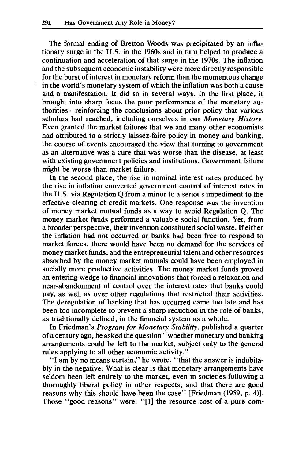The formal ending of Bretton Woods was precipitated by an inflationary surge in the **U.S.** in the **1960s** and in turn helped to produce a continuation **and** acceleration of that surge in the **1970s.** The inflation and the subsequent economic instability were more directly responsible for the burst of interest in monetary reform than the momentous change in the world's monetary system of which the inflation was both a cause and a manifestation. It did so in several ways. In the first place, it brought into sharp focus the poor performance of the monetary authorities-reinforcing the conclusions about prior policy that various scholars had reached, including ourselves in our *Monetary History.*  Even granted the market failures that we and many other economists had attributed to a strictly laissez-faire policy in money and banking, the course of events encouraged the view that turning to government as an alternative was a cure that was worse than the disease, at least with existing government policies and institutions. Government failure might be worse than market failure.

In the second place, the rise in nominal interest rates produced by the rise in inflation converted government control of interest rates in the U.S. via Regulation Q from a minor to a serious impediment to the effective clearing of credit markets. One response was the invention of money market mutual funds as a way to avoid Regulation Q. The money market funds performed a valuable social function. Yet, from a broader perspective, their invention constituted social waste. If either the inflation had not occurred or banks had been free to respond to market forces, there would have been no demand for the services of money market funds, and the entrepreneurial talent and other resources absorbed by the money market mutuals could have been employed in socially more productive activities. The money market funds proved an entering wedge to financial innovations that forced a relaxation and near-abandonment of control over the interest rates that banks could pay, as **well** as over other regulations that restricted their activities. The deregulation of banking that has occurred came too late and has been too incomplete to prevent a sharp reduction in the role of banks, as traditionally defined, in the financial system as a whole.

In Friedman's *Program for Monetary Stability,* published a quarter of a century ago, he asked the question "whether monetary and banking arrangements could be left to the market, subject only to the general rules applying to all other economic activity."

"I am by no means certain," he wrote, "that the answer is indubitably in the negative. What is clear is that monetary arrangements have seldom been left entirely to the market, even in societies following a thoroughly liberal policy in other respects, and that there are good reasons why this should have been the case" [Friedman **(1959,** p. **4)].**  Those "good reasons" were: "[1] the resource cost of a pure com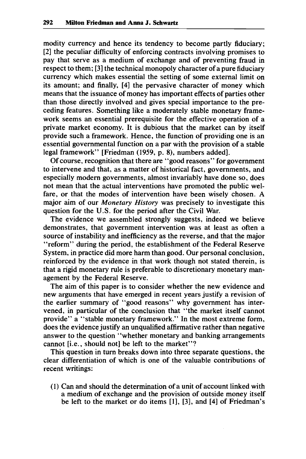modity currency and hence its tendency to become partly fiduciary; **[2]** the peculiar difficulty of enforcing contracts involving promises to pay that serve as a medium of exchange and of preventing fraud in respect to them; [3] the technical monopoly character of a pure fiduciary currency which makes essential the setting of some external limit on its amount; and finally, **[4]** the pervasive character of money which means that the issuance of money has important effects of parties other than those directly involved and gives special importance to the preceding features. Something like a moderately stable monetary framework seems an essential prerequisite for the effective operation of a private market economy. It is dubious that the market can by itself provide such a framework. Hence, the function of providing one is an essential governmental function on a par with the provision of a stable legal framework" [Friedman **(1959,** p. **8),** numbers added].

Of course, recognition that there are "good reasons" for government to intervene and that, as a matter of historical fact, governments, and especially modem governments, almost invariably have done so, does not mean that the actual interventions have promoted the public welfare, or that the modes of intervention have been wisely chosen. A major aim of our *Monetary History* was precisely to investigate this question for the U.S. for the period after the Civil War.

The evidence we assembled strongly suggests, indeed we believe demonstrates, that government intervention was at least as often a source of instability and inefficiency as the reverse, and that the major "reform" during the period, the establishment of the Federal Reserve System, in practice did more harm than good. Our personal conclusion, reinforced by the evidence in that work though not stated therein, is that a rigid monetary rule is preferable to discretionary monetary management by the Federal Reserve.

The aim of this paper is to consider whether the new evidence and new arguments that have emerged in recent years justify a revision **of**  the earlier summary of "good reasons" why government has intervened, in particular of the conclusion that "the market itself cannot provide" a "stable monetary framework." In the most extreme form, does the evidence justify an unqualified affirmative rather than negative answer to the question "whether monetary and banking arrangements cannot [i.e., should not] be left to the market"?

This question in turn breaks down into three separate questions, the clear differentiation of which is one of the valuable contributions of recent writings:

**(1)** Can and should the determination of a unit of account linked with a medium of exchange and the provision of outside money itself be left to the market or do items **[l],** [3], and **[4]** of Friedman's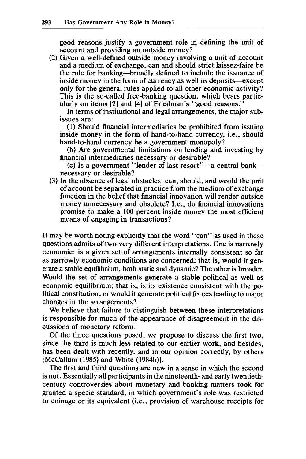good reasons justify a government role in defining the unit of account and providing an outside money?

(2) Given a well-defined outside money involving a unit of account and a medium of exchange, can and should strict laissez-faire be the rule for banking-broadly defined to include the issuance of inside money in the form of currency as well as deposits—except only for the general rules applied to all other economic activity? This is the so-called free-banking question, which bears particularly on items [2] and [4] of Friedman's "good reasons."

In terms of institutional and legal arrangements, the major subissues are:

(1) Should financial intermediaries be prohibited from issuing inside money in the form of hand-to-hand currency, i.e., should hand-to-hand currency be a government monopoly?

(b) Are governmental limitations on lending and investing by financial intermediaries necessary or desirable?

(c) Is a government "lender of last resort"—a central bank necessary or desirable?

(3) In the absence of legal obstacles, can, should, and would the unit of account be separated in practice from the medium of exchange function in the belief that financial innovation will render outside money unnecessary and obsolete? I.e., do financial innovations promise to make a **100** percent inside money the most efficient means of engaging in transactions?

It may be worth noting explicitly that the word "can" as used in these questions admits of two very different interpretations. One is narrowly economic: is a given set of arrangements internally consistent so far as narrowly economic conditions are concerned; that is, would it generate a stable equilibrium, both static and dynamic? The other is broader. Would the set of arrangements generate a stable political as well as economic equilibrium; that is, is its existence consistent with the political constitution, or would it generate political forces leading to major changes in the arrangements?

We believe that failure to distinguish between these interpretations is responsible for much of the appearance of disagreement in the discussions of monetary reform.

Of the three questions posed, we propose to discuss the first two, since the third is much less related to our earlier work, and besides, has been dealt with recently, and in our opinion correctly, by others [McCallum (1985) and White (1984b)l.

The first and third questions are new in a sense in which the second is not. Essentially all participants in the nineteenth- and early twentiethcentury controversies about monetary and banking matters took for granted a specie standard, in which government's role was restricted to coinage or its equivalent (i.e., provision of warehouse receipts for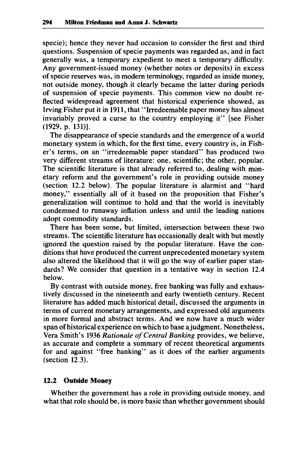specie); hence they never had occasion to consider the first and third questions. Suspension of specie payments was regarded as, and in fact generally was, a temporary expedient to meet a temporary difficulty. Any government-issued money (whether notes or deposits) in excess of specie reserves was, in modem terminology, regarded as inside money, not outside money, though it clearly became the latter during periods of suspension of specie payments. This common view no doubt reflected widespread agreement that historical experience showed, as Irving Fisher put it in 1911, that "Irredeemable paper money has almost invariably proved a curse to the country employing it" [see Fisher (1929, p. 131)].

The disappearance of specie standards and the emergence of a world monetary system in which, for the first time, every country is, in Fisher's terms, on an "irredeemable paper standard" has produced two very different streams of literature: one, scientific; the other, popular. The scientific literature is that already referred to, dealing with monetary reform and the government's role in providing outside money (section 12.2 below). The popular literature is alarmist and "hard money," essentially all of it based on the proposition that Fisher's generalization will continue to hold and that the world is inevitably condemned to runaway inflation unless and until the leading nations adopt commodity standards.

There has been some, but limited, intersection between these two streams. The scientific literature has occasionally dealt with but mostly ignored the question raised by the popular literature. Have the conditions that have produced the current unprecedented monetary system also altered the likelihood that it will go the way of earlier paper standards? We consider that question in a tentative way in section 12.4 below.

By contrast with outside money, free banking was fully and exhaustively discussed in the nineteenth and early twentieth century. Recent literature has added much historical detail, discussed the arguments in terms of current monetary arrangements, and expressed old arguments in more formal and abstract terms. And we now have a much wider span of historical experience on which to base a judgment. Nonetheless, Vera Smith's 1936 *Rationale of Central Banking* provides, we believe, as accurate and complete a summary of recent theoretical arguments for and against "free banking" as it does of the earlier arguments (section 12.3).

#### *U.2* Outside **Money**

Whether the government has a role in providing outside money, and what that role should be, is more basic than whether government should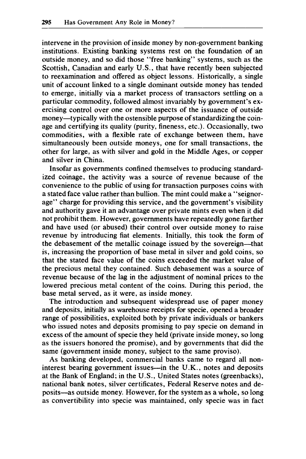intervene in the provision of inside money by non-government banking institutions. Existing banking systems rest on the foundation of an outside money, and so did those "free banking" systems, such as the Scottish, Canadian and early U.S., that have recently been subjected to reexamination and offered as object lessons. Historically, a single unit of account linked to a single dominant outside money has tended to emerge, initially via a market process of transactors settling on a particular commodity, followed almost invariably by government's exercising control over one or more aspects of the issuance of outside money—typically with the ostensible purpose of standardizing the coinage and certifying its quality (purity, fineness, etc.). Occasionally, two commodities, with a flexible rate of exchange between them, have simultaneously been outside moneys, one for small transactions, the other for large, as with silver and gold in the Middle Ages, or copper and silver in China.

Insofar as governments confined themselves to producing standardized coinage, the activity was a source of revenue because of the convenience to the public of using for transaction purposes coins with a stated face value rather than bullion. The mint could make a "seignorage" charge for providing this service, and the government's visibility and authority gave it an advantage over private mints even when it did not prohibit them. However, governments have repeatedly gone farther and have used (or abused) their control over outside money to raise revenue by introducing fiat elements. Initially, this took the form of the debasement of the metallic coinage issued by the sovereign—that is, increasing the proportion of base metal in silver and gold coins, so that the stated face value of the coins exceeded the market value of the precious metal they contained. Such debasement was a source of revenue because of the lag in the adjustment of nominal prices to the lowered precious metal content of the coins. During this period, the base metal served, as it were, as inside money.

The introduction and subsequent widespread use of paper money and deposits, initially as warehouse receipts for specie, opened a broader range of possibilities, exploited both by private individuals or bankers who issued notes and deposits promising to pay specie on demand in excess of the amount of specie they held (private inside money, so long as the issuers honored the promise), and by governments that did the same (government inside money, subject to the same proviso).

As banking developed, commercial banks came to regard all noninterest bearing government issues—in the  $U.K.,$  notes and deposits at the Bank of England; in the U.S., United States notes (greenbacks), national bank notes, silver certificates, Federal Reserve notes and deposits-as outside money. However, for the system as a whole, so long as convertibility into specie was maintained, only specie was in fact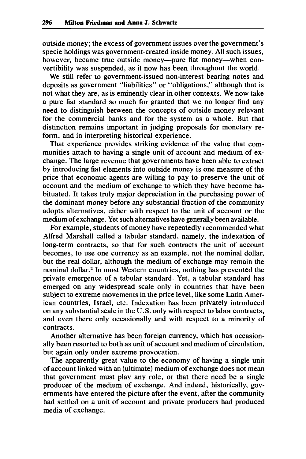outside money; the excess of government issues over the government's specie holdings was government-created inside money. All such issues, however, became true outside money—pure fiat money—when convertibility was suspended, as it now has been throughout the world.

We still refer to government-issued non-interest bearing notes and deposits as government "liabilities" or "obligations," although that is not what they are, as is eminently clear in other contexts. We now take a pure fiat standard so much for granted that we no longer find any need to distinguish between the concepts of outside money relevant for the commercial banks and for the system as a whole. But that distinction remains important in judging proposals for monetary reform, and in interpreting historical experience.

That experience provides striking evidence of the value that communities attach to having a single unit of account and medium of exchange. The large revenue that governments have been able to extract by introducing fiat elements into outside money is one measure of the price that economic agents are willing to pay to preserve the unit of account and the medium of exchange to which they have become habituated. It takes truly major depreciation in the purchasing power of the dominant money before any substantial fraction of the community adopts alternatives, either with respect to the unit of account or the medium of exchange. Yet such alternatives have generally been available.

For example, students of money have repeatedly recommended what Alfred Marshall called a tabular standard, namely, the indexation of long-term contracts, so that for such contracts the unit of account becomes, to use one currency as an example, not the nominal dollar, but the real dollar, although the medium of exchange may remain the nominal dollar.2 In most Western countries, nothing has prevented the private emergence of a tabular standard. Yet, a tabular standard has emerged on any widespread scale only in countries that have been subject to extreme movements in the price level, like some Latin American countries, Israel, etc. Indexation has been privately introduced on any substantial scale in the U.S. only with respect to labor contracts, and even there only occasionally and with respect to a minority of contracts.

Another alternative has been foreign currency, which has occasionally been resorted to both as unit of account and medium of circulation, but again only under extreme provocation.

The apparently great value to the economy of having a single unit of account linked with an (ultimate) medium of exchange does not mean that government must play any role, or that there need be a single producer of the medium of exchange. And indeed, historically, governments have entered the picture after the event, after the community had settled on a unit of account and private producers had produced media of exchange.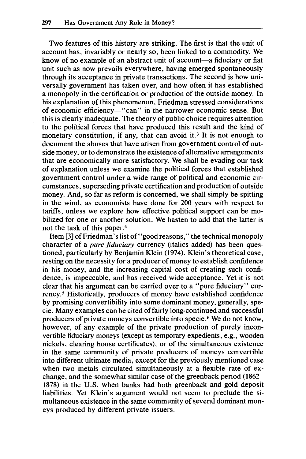Two features of this history are striking. The first is that the unit of account has, invariably or nearly so, been linked to a commodity. We know of no example of an abstract unit of account—a fiduciary or fiat unit such as now prevails everywhere, having emerged spontaneously through its acceptance in private transactions. The second is how universally government has taken over, and how often it has established a monopoly in the certification or production of the outside money. In his explanation of this phenomenon, Friedman stressed considerations of economic efficiency—"can" in the narrower economic sense. But this is clearly inadequate. The theory of public choice requires attention to the political forces that have produced this result and the kind of monetary constitution, if any, that can avoid it.<sup>3</sup> It is not enough to document the abuses that have arisen from government control of outside money, or to demonstrate the existence of alternative arrangements that are economically more satisfactory. We shall be evading our task of explanation unless we examine the political forces that established government control under a wide range of political and economic circumstances, superseding private certification and production of outside money. And, so far as reform is concerned, we shall simply be spitting in the wind, as economists have done for **200** years with respect to tariffs, unless we explore how effective political support can be mobilized for one or another solution. We hasten to add that the latter is not the task of this paper.4

Item [3] of Friedman's list of "good reasons," the technical monopoly character of a pure *fiduciary* currency (italics added) has been questioned, particularly by Benjamin Klein **(1974).** Klein's theoretical case, resting on the necessity for a producer of money to establish confidence in his money, and the increasing capital cost of creating such confidence, is impeccable, and has received wide acceptance. Yet it is not clear that his argument can be carried over to a "pure fiduciary" currency.<sup>5</sup> Historically, producers of money have established confidence by promising convertibility into some dominant money, generally, specie. Many examples can be cited of fairly long-continued and successful producers of private moneys convertible into specie.6 We do not know, however, of any example of the private production of purely inconvertible fiduciary moneys (except as temporary expedients, e.g., wooden nickels, clearing house certificates), or of the simultaneous existence in the same community of private producers of moneys convertible into different ultimate media, except for the previously mentioned case when two metals circulated simultaneously at a flexible rate of exchange, and the somewhat similar case of the greenback period **(1862- 1878)** in the **U.S.** when banks had both greenback and gold deposit liabilities. Yet Klein's argument would not seem to preclude the simultaneous existence in the same community of several dominant moneys produced by different private issuers.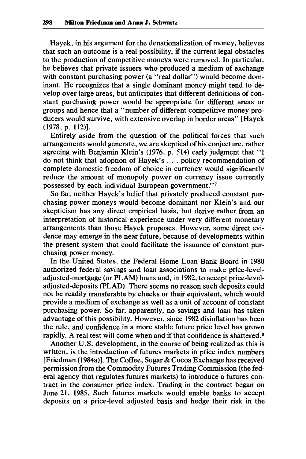Hayek, in his argument for the denationalization of money, believes that such an outcome is a real possibility, if the current legal obstacles to the production of competitive moneys were removed. In particular, he believes that private issuers who produced a medium of exchange with constant purchasing power (a "real dollar") would become dominant. He recognizes that a single dominant money might tend to develop over large areas, but anticipates that different definitions of constant purchasing power would be appropriate for different areas or groups and hence that a "number of different competitive money producers would survive, with extensive overlap in border areas" [Hayek (1978, p. 112)].

Entirely aside from the question of the political forces that such arrangements would generate, we are skeptical of his conjecture, rather agreeing with Benjamin Klein's (1976, p. 514) early judgment that "I do not think that adoption of Hayek's . . . policy recommendation of complete domestic freedom of choice in currency would significantly reduce the amount of monopoly power on currency issue currently possessed by each individual European government."'

So far, neither Hayek's belief that privately produced constant purchasing power moneys would become dominant nor Klein's and our skepticism has any direct empirical basis, but derive rather from an interpretation of historical experience under very different monetary arrangements than those Hayek proposes. However, some direct evidence may emerge in the near future, because of developments within the present system that could facilitate the issuance of constant purchasing power money.

In the United States, the Federal Home Loan Bank Board in 1980 authorized federal savings and loan associations to make price-leveladjusted-mortgage (or PLAM) loans and, in 1982, to accept price-leveladjusted-deposits (PLAD). There seems no reason such deposits could not be readily transferable by checks or their equivalent, which would provide a medium of exchange as well as a unit of account of constant purchasing power. So far, apparently, no savings and loan has taken advantage of this possibility. However, since 1982 disinflation has been the rule, and confidence in a more stable future price level has grown rapidly. A real test will come when and if that confidence is shattered.<sup>8</sup>

Another **U.S.** development, in the course of being realized as this is written, is the introduction of futures markets in price index numbers [Friedman (1984a)l. The Coffee, Sugar & Cocoa Exchange has received permission from the Commodity Futures Trading Commission (the federal agency that regulates futures markets) to introduce a futures contract in the consumer price index. Trading in the contract began on June 21, 1985. Such futures markets would enable banks to accept deposits on a price-level adjusted basis and hedge their risk in the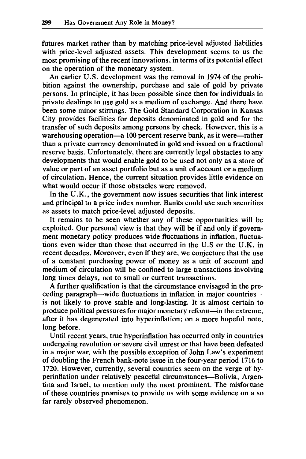futures market rather than by matching price-level adjusted liabilities with price-level adjusted assets. This development seems to us the most promising of the recent innovations, in terms of its potential effect on the operation of the monetary system.

An earlier U.S. development was the removal in 1974 of the prohibition against the ownership, purchase and sale of gold by private persons. In principle, it has been possible since then for individuals in private dealings to use gold as a medium of exchange. And there have been some minor stirrings. The Gold Standard Corporation in Kansas City provides facilities for deposits denominated in gold and for the transfer of such deposits among persons by check. However, this is a warehousing operation—a 100 percent reserve bank, as it were—rather than a private currency denominated in gold and issued on a fractional reserve basis. Unfortunately, there are currently legal obstacles to any developments that would enable gold to be used not only as a store of value or part of an asset portfolio but as a unit of account or a medium of circulation. Hence, the current situation provides little evidence on what would occur if those obstacles were removed.

In the U.K., the government now issues securities that link interest and principal to a price index number. Banks could use such securities as assets to match price-level adjusted deposits.

It remains to be seen whether any of these opportunities will be exploited. Our personal view is that they will be if and only if government monetary policy produces wide fluctuations in inflation, fluctuations even wider than those that occurred in the U.S or the U.K. in recent decades. Moreover, even if they are, we conjecture that the use of a constant purchasing power of money as a unit of account and medium of circulation will be confined to large transactions involving long times delays, not to small or current transactions.

A further qualification is that the circumstance envisaged in the preceding paragraph—wide fluctuations in inflation in major countries is not likely to prove stable and long-lasting. It is almost certain to produce political pressures for major monetary reform-in the extreme, after it has degenerated into hyperinflation; on a more hopeful note, long before.

Until recent years, true hyperinflation has occurred only in countries undergoing revolution or severe civil unrest or that have been defeated in a major war, with the possible exception of John Law's experiment of doubling the French bank-note issue in the four-year period 1716 to 1720. However, currently, several countries seem on the verge of hyperinflation under relatively peaceful circumstances—Bolivia, Argentina and Israel, to mention only the most prominent. The misfortune of these countries promises to provide us with some evidence on a so far rarely observed phenomenon.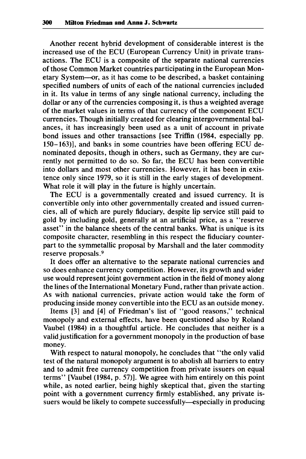Another recent hybrid development of considerable interest is the increased use of the ECU (European Currency Unit) in private transactions. The ECU is a composite of the separate national currencies of those Common Market countries participating in the European Monetary System-or, as it has come to be described, a basket containing specified numbers of units of each of the national currencies included in it. Its value in terms of any single national currency, including the dollar or any of the currencies composing it, is thus a weighted average of the market values in terms of that currency of the component ECU currencies. Though initially created for clearing intergovernmental balances, it has increasingly been used as a unit of account in private bond issues and other transactions [see Triffin (1984, especially pp. **150-163)],** and banks in some countries have been offering ECU denominated deposits, though in others, such as Germany, they are currently not permitted to do so. So far, the ECU has been convertible into dollars and most other currencies. However, it has been in existence only since 1979, so it is still in the early stages of development. What role it will play in the future is highly uncertain.

The ECU is a governmentally created and issued currency. It is convertible only into other governmentally created and issued currencies, all of which are purely fiduciary, despite lip service still paid to gold by including gold, generally at an artificial price, as a "reserve asset" in the balance sheets of the central banks. What is unique is its composite character, resembling in this respect the fiduciary counterpart to the symmetallic proposal by Marshall and the later commodity reserve proposals.9

It does offer an alternative to the separate national currencies and so does enhance currency competition. However, its growth and wider use would represent joint government action in the field of money along the lines of the International Monetary Fund, rather than private action. As with national currencies, private action would take the form of producing inside money convertible into the ECU as an outside money.

Items **[3]** and [4] of Friedman's list of "good reasons," technical monopoly and external effects, have been questioned also by Roland Vaubel (1984) in a thoughtful article. He concludes that neither is a valid justification for a government monopoly in the production of base money.

With respect to natural monopoly, he concludes that "the only valid" test of the natural monopoly argument is to abolish all barriers to entry and to admit free currency competition from private issuers on equal terms" [Vaubel(l984, p. 57)]. We agree with him entirely on this point while, as noted earlier, being highly skeptical that, given the starting point with a government currency firmly established, any private issuers would be likely to compete successfully—especially in producing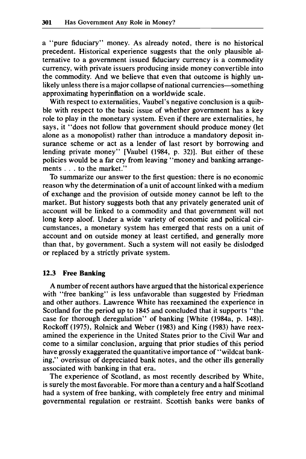a "pure fiduciary" money. As already noted, there is no historical precedent. Historical experience suggests that the only plausible alternative to a government issued fiduciary currency is a commodity currency, with private issuers producing inside money convertible into the commodity. And we believe that even that outcome is highly unlikely unless there is a major collapse of national currencies—something approximating hyperinflation on a worldwide scale.

With respect to externalities, Vaubel's negative conclusion is a quibble with respect to the basic issue of whether government has a key role to play in the monetary system. Even if there are externalities, he says, it "does not follow that government should produce money (let alone as a monopolist) rather than introduce a mandatory deposit insurance scheme or act as a lender of last resort by borrowing and lending private money" [Vaubel (1984, p. 32)]. But either of these policies would be a far cry from leaving "money and banking arrangements . . . to the market."

To summarize our answer to the first question: there is no economic reason why the determination of a unit of account linked with a medium of exchange and the provision of outside money cannot be left to the market. But history suggests both that any privately generated unit of account will be linked to a commodity and that government will not long keep aloof. Under a wide variety of economic and political circumstances, a monetary system has emerged that rests on a unit of account and on outside money at least certified, and generally more than that, by government. Such a system will not easily be dislodged or replaced by a strictly private system.

### *12.3* **Free Banking**

A number of recent authors have argued that the historical experience with "free banking" is less unfavorable than suggested by Friedman and other authors. Lawrence White has reexamined the experience in Scotland for the period up to 1845 and concluded that it supports "the case for thorough deregulation" of banking [White (1984a, p. 148)]. Rockoff (1975), Rolnick and Weber (1983) and King (1983) have reexamined the experience in the United States prior to the Civil War and come to a similar conclusion, arguing that prior studies of this period have grossly exaggerated the quantitative importance of "wildcat banking,'' overissue of depreciated bank notes, and the other ills generally associated with banking in that era.

The experience of Scotland, as most recently described by White, is surely the most favorable. For more than a century and a half Scotland had a system of free banking, with completely free entry and minimal governmental regulation or restraint. Scottish banks were banks of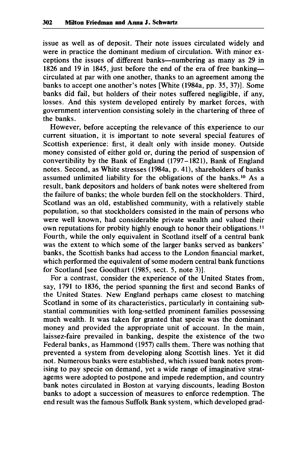issue as well as of deposit. Their note issues circulated widely and were in practice the dominant medium of circulation. With minor exceptions the issues of different banks-numbering as many as 29 in 1826 and 19 in 1845, just before the end of the era of free bankingcirculated at par with one another, thanks to an agreement among the banks to accept one another's notes [White (1984a, pp. 35, 37)]. Some banks did fail, but holders of their notes suffered negligible, if any, losses. And this system developed entirely by market forces, with government intervention consisting solely in the chartering of three of the banks.

However, before accepting the relevance of this experience to our current situation, it is important to note several special features of Scottish experience: first, it dealt only with inside money. Outside money consisted of either gold or, during the period of suspension of convertibility by the Bank of England (1797-1821), Bank of England notes. Second, as White stresses (1984a, p. 41), shareholders of banks assumed unlimited liability for the obligations of the banks.<sup>10</sup> As a result, bank depositors and holders of bank notes were sheltered from the failure of banks; the whole burden fell on the stockholders. Third, Scotland was an old, established community, with a relatively stable population, so that stockholders consisted in the main of persons who were well known, had considerable private wealth and valued their own reputations for probity highly enough to honor their obligations. **II**  Fourth, while the only equivalent in Scotland itself of a central bank was the extent to which some of the larger banks served as bankers' banks, the Scottish banks had access to the London financial market, which performed the equivalent of some modern central bank functions for Scotland [see Goodhart (1985, sect. 5, note 3)].

For a contrast, consider the experience of the United States from, say, 1791 to 1836, the period spanning the first and second Banks of the United States. New England perhaps came closest to matching Scotland in some of its characteristics, particularly in containing substantial communities with long-settled prominent families possessing much wealth. It was taken for granted that specie was the dominant money and provided the appropriate unit of account. In the main, laissez-faire prevailed in banking, despite the existence of the two Federal banks, as Hammond (1957) calls them. There was nothing that prevented a system from developing along Scottish lines. Yet it did not. Numerous banks were established, which issued bank notes promising to pay specie on demand, yet a wide range of imaginative stratagems were adopted to postpone and impede redemption, and country bank notes circulated in Boston at varying discounts, leading Boston banks to adopt a succession of measures to enforce redemption. The end result was the famous Suffolk Bank system, which developed grad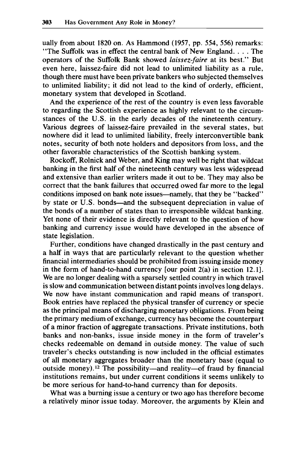ually from about 1820 on. As Hammond (1957, pp. **554,** *556)* remarks: "The Suffolk was in effect the central bank of New England. . . . The operators of the Suffolk Bank showed *laissez-faire* at its best." But even here, laissez-faire did not lead to unlimited liability as a rule, though there must have been private bankers who subjected themselves to unlimited liability; it did not lead to the kind of orderly, efficient, monetary system that developed in Scotland.

And the experience of the rest of the country is even less favorable to regarding the Scottish experience as highly relevant to the circumstances of the U.S. in the early decades of the nineteenth century. Various degrees of laissez-faire prevailed in the several states, but nowhere did it lead to unlimited liability, freely interconvertible bank notes, security of both note holders and depositors from loss, and the other favorable characteristics of the Scottish banking system.

Rockoff, Rolnick and Weber, and King may well be right that wildcat banking in the first half of the nineteenth century was less widespread and extensive than earlier writers made it out to be. They may also be correct that the bank failures that occurred owed far more to the legal conditions imposed on bank note issues—namely, that they be "backed" by state or U.S. bonds—and the subsequent depreciation in value of the bonds of a number of states than to irresponsible wildcat banking. Yet none of their evidence is directly relevant to the question of how banking and currency issue would have developed in the absence of state legislation.

Further, conditions have changed drastically in the past century and a half in ways that are particularly relevant to the question whether financial intermediaries should be prohibited from issuing inside money in the form of hand-to-hand currency [our point  $2(a)$  in section 12.1]. We are no longer dealing with a sparsely settled country in which travel is slow and communication between distant points involves long delays. We now have instant communication and rapid means of transport. Book entries have replaced the physical transfer of currency or specie as the principal means of discharging monetary obligations. From being the primary medium of exchange, currency has become the counterpart of a minor fraction of aggregate transactions. Private institutions, both banks and non-banks, issue inside money in the form of traveler's checks redeemable on demand in outside money. The value of such traveler's checks outstanding is now included in the official estimates of all monetary aggregates broader than the monetary base (equal to outside money).<sup>12</sup> The possibility—and reality—of fraud by financial institutions remains, but under current conditions it seems unlikely to be more serious for hand-to-hand currency than for deposits.

What was a burning issue a century or two ago has therefore become a relatively minor issue today. Moreover, the arguments by Klein and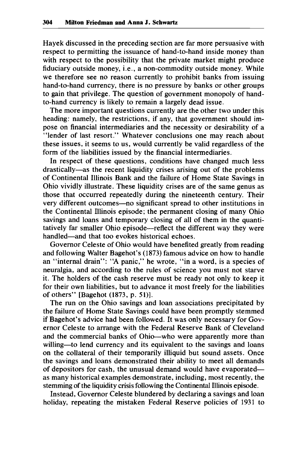Hayek discussed in the preceding section are far more persuasive with respect to permitting the issuance of hand-to-hand inside money than with respect to the possibility that the private market might produce fiduciary outside money, i.e., a non-commodity outside money. While we therefore see no reason currently to prohibit banks from issuing hand-to-hand currency, there is no pressure by banks or other groups to gain that privilege. The question of government monopoly of handto-hand currency is likely to remain a largely dead issue.

The more important questions currently are the other two under this heading: namely, the restrictions, if any, that government should impose on financial intermediaries and the necessity or desirability of a "lender of last resort." Whatever conclusions one may reach about these issues, it seems to us, would currently be valid regardless of the form of the liabilities issued by the financial intermediaries.

In respect of these questions, conditions have changed much less drastically-as the recent liquidity crises arising out of the problems of Continental Illinois Bank and the failure of Home State Savings in Ohio vividly illustrate. These liquidity crises are of the same genus as those that occurred repeatedly during the nineteenth century. Their very different outcomes-no significant spread to other institutions in the Continental Illinois episode; the permanent closing of many Ohio savings and loans and temporary closing of all of them in the quantitatively far smaller Ohio episode—reflect the different way they were handled—and that too evokes historical echoes.

Governor Celeste of Ohio would have benefited greatly from reading and following Walter Bagehot's (1873) famous advice on how to handle an "internal drain": "A panic," he wrote, "in a word, is a species of neuralgia, and according to the rules of science you must not starve it. The holders of the cash reserve must be ready not only to keep it for their own liabilities, but to advance it most freely for the liabilities of others" [Bagehot (1873, p. **51)l.** 

The run on the Ohio savings and loan associations precipitated by the failure of Home State Savings could have been promptly stemmed if Bagehot's advice had been followed. It was only necessary for Governor Celeste to arrange with the Federal Reserve Bank of Cleveland and the commercial banks of Ohio—who were apparently more than willing—to lend currency and its equivalent to the savings and loans on the collateral of their temporarily illiquid but sound assets. Once the savings and loans demonstrated their ability to meet all demands of depositors for cash, the unusual demand would have evaporated as many historical examples demonstrate, including, most recently, the stemming of the liquidity crisis following the Continental Illinois episode.

Instead, Governor Celeste blundered by declaring a savings and loan holiday, repeating the mistaken Federal Reserve policies of 1931 to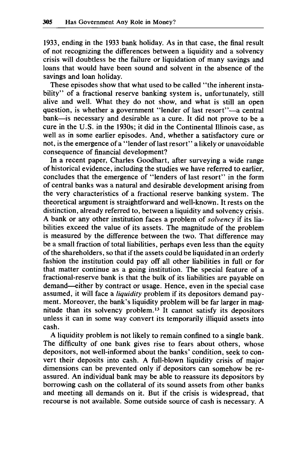**1933,** ending in the **1933** bank holiday. As in that case, the final result of not recognizing the differences between a liquidity and a solvency crisis will doubtless be the failure or liquidation of many savings and loans that would have been sound and solvent in the absence of the savings and loan holiday.

These episodes show that what used to be called "the inherent instability" of a fractional reserve banking system is, unfortunately, still alive and well. What they do not show, and what is still an open question, is whether a government "lender of last resort"-a central bank-is necessary and desirable as a cure. It did not prove to be a cure in the U.S. in the **1930s;** it did in the Continental Illinois case, as well as in some earlier episodes. And, whether a satisfactory cure or not, is the emergence of a "lender of last resort" a likely or unavoidable consequence of financial development?

In a recent paper, Charles Goodhart, after surveying a wide range of historical evidence, including the studies we have referred to earlier, concludes that the emergence of "lenders of last resort" in the form of central banks was a natural and desirable development arising from the very characteristics of a fractional reserve banking system. The theoretical argument is straightforward and well-known. It rests on the distinction, already referred to, between a liquidity and solvency crisis. A bank or any other institution faces a problem of *solvency* if its liabilities exceed the value of its assets. The magnitude of the problem is measured by the difference between the two. That difference may be a small fraction of total liabilities, perhaps even less than the equity of the shareholders, so that if the assets could be liquidated in an orderly fashion the institution could pay **off** all other liabilities in full or for that matter continue as a going institution. The special feature of a fractional-reserve bank is that the bulk of its liabilities are payable on demand—either by contract or usage. Hence, even in the special case assumed, it will face a *liquidity* problem if its depositors demand payment. Moreover, the bank's liquidity problem will be far larger in magnitude than its solvency problem.<sup>13</sup> It cannot satisfy its depositors unless it can in some way convert its temporarily illiquid assets into cash.

A liquidity problem is not likely to remain confined to a single bank. The difficulty of one bank gives rise to fears about others, whose depositors, not well-informed about the banks' condition, seek to convert their deposits into cash. A full-blown liquidity crisis of major dimensions can be prevented only if depositors can somehow be reassured. An individual bank may be able to reassure its depositors by borrowing cash on the collateral of its sound assets from other banks and meeting all demands on it. But if the crisis is widespread, that recourse is not available. Some outside source of cash is necessary. A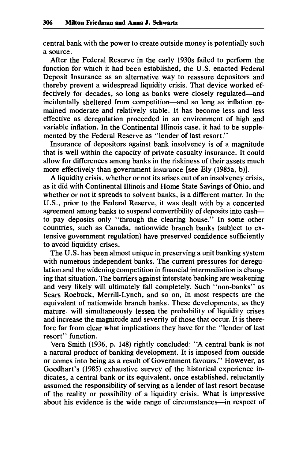central bank with the power to create outside money is potentially such a source.

After the Federal Reserve in the early 1930s failed to perform the function for which it had been established, the U.S. enacted Federal Deposit Insurance as an alternative way to reassure depositors and thereby prevent a widespread liquidity crisis. That device worked effectively for decades, so long as banks were closely regulated—and incidentally sheltered from competition—and so long as inflation remained moderate and relatively stable. It has become less and less effective as deregulation proceeded in an environment of high and variable inflation. In the Continental Illinois case, it had to be supplemented by the Federal Reserve as "lender of last resort."

Insurance of depositors against bank insolvency is of a magnitude that is well within the capacity of private casualty insurance. It could allow for differences among banks in the riskiness of their assets much more effectively than government insurance [see Ely (1985a, b)].

A liquidity crisis, whether or not its arises out of an insolvency crisis, as it did with Continental Illinois and Home State Savings of Ohio, and whether or not it spreads to solvent banks, is a different matter. In the U.S., prior to the Federal Reserve, it was dealt with by a concerted agreement among banks to suspend convertibility of deposits into cashto pay deposits only "through the clearing house." In some other countries, such as Canada, nationwide branch banks (subject to extensive government regulation) have preserved confidence sufficiently to avoid liquidity crises.

The U.S. has been almost unique in preserving a unit banking system with numekous independent banks. The current pressures for deregulation and the widening competition in financial intermediation is changing that situation. The barriers against interstate banking are weakening and very likely will ultimately fall completely. Such "non-banks" as Sears Roebuck, Merrill-Lynch, and so on, in most respects are the equivalent of nationwide branch banks. These developments, as they mature, will simultaneously lessen the probability of liquidity crises and increase the magnitude and severity of those that occur. It is therefore far from clear what implications they have for the "lender of last resort" function.

Vera Smith (1936, p. **148)** rightly concluded: "A central bank is not a natural product of banking development. It is imposed from outside or comes into being as a result of Government favours." However, as Goodhart's **(1985)** exhaustive survey of the historical experience indicates, a central bank or its equivalent, once established, reluctantly assumed the responsibility of serving as a lender of last resort because of the reality or possibility of a liquidity crisis. What is impressive about his evidence is the wide range of circumstances—in respect of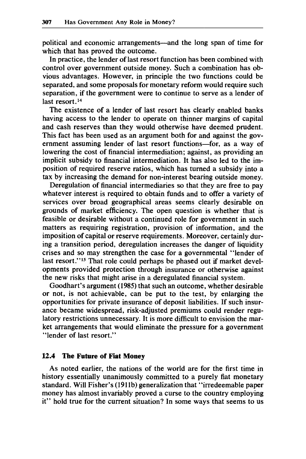political and economic arrangements-and the long span of time for which that has proved the outcome.

In practice, the lender of last resort function has been combined with control over government outside money. Such a combination has obvious advantages. However, in principle the two functions could be separated, and some proposals for monetary reform would require such separation, if the government were to continue to serve as a lender of last resort.<sup>14</sup>

The existence of a lender of last resort has clearly enabled banks having access to the lender to operate **on** thinner margins of capital and cash reserves than they would otherwise have deemed prudent. This fact has been used as an argument both for and against the government assuming lender of last resort functions-for, as a way of lowering the cost of financial intermediation; against, as providing an implicit subsidy to financial intermediation. It has also led to the imposition of required reserve ratios, which has turned a subsidy into a tax by increasing the demand for non-interest bearing outside money.

Deregulation of financial intermediaries so that they are free to pay whatever interest is required to obtain funds and to offer a variety of services over broad geographical areas seems clearly desirable on grounds of market efficiency. The open question is whether that is feasible or desirable without a continued role for government in such matters as requiring registration, provision of information, and the imposition of capital or reserve requirements. Moreover, certainly during a transition period, deregulation increases the danger of liquidity crises and so may strengthen the case for a governmental "lender of last resort."<sup>15</sup> That role could perhaps be phased out if market developments provided protection through insurance or otherwise against the new risks that might arise in a deregulated financial system.

Goodhart's argument **(1985)** that such an outcome, whether desirable or not, is not achievable, can be put to the test, by enlarging the opportunities for private insurance of deposit liabilities. If such insurance became widespread, risk-adjusted premiums could render regulatory restrictions unnecessary. It is more difficult to envision the market arrangements that would eliminate the pressure for a government "lender of last resort."

#### **12.4 The Future of Fiat Money**

As noted earlier, the nations of the world are for the first time in history essentially unanimously committed to a purely fiat monetary standard. Will Fisher's (1911b) generalization that "irredeemable paper money has almost invariably proved a curse to the country employing it" hold true for the current situation? In some ways that seems to us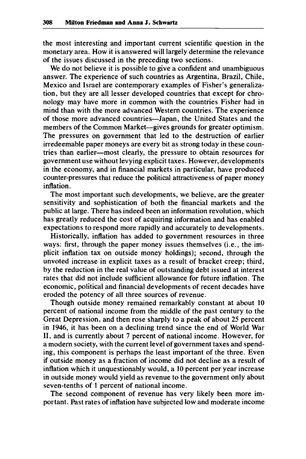the most interesting and important current scientific question in the monetary area. How it is answered will largely determine the relevance of the issues discussed in the preceding two sections.

We do not believe it is possible to give a confident and unambiguous answer. The experience of such countries as Argentina, Brazil, Chile, Mexico and Israel are contemporary examples of Fisher's generalization, but they are all lesser developed countries that except for chronology may have more in common with the countries Fisher had in mind than with the more advanced Western countries. The experience of those more advanced countries—Japan, the United States and the members of the Common Market—gives grounds for greater optimism. The pressures on government that led to the destruction of earlier irredeemable paper moneys are every bit as strong today in these countries than earlier-most clearly, the pressure to obtain resources for government use without levying explicit taxes. However, developments in the economy, and in financial markets in particular, have produced counter-pressures that reduce the political attractiveness of paper money inflation.

The most important such developments, we believe, are the greater sensitivity and sophistication of both the financial markets and the public at large. There has indeed been an information revolution, which has greatly reduced the cost of acquiring information and has enabled expectations to respond more rapidly and accurately to developments.

Historically, inflation has added to government resources in three ways: first, through the paper money issues themselves (i.e., the implicit inflation tax on outside money holdings); second, through the unvoted increase in explicit taxes as a result of bracket creep; third, by the reduction in the real value of outstanding debt issued at interest rates that did not include sufficient allowance for future inflation. The economic, political and financial developments of recent decades have eroded the potency of all three sources of revenue.

Though outside money remained remarkably constant at about 10 percent of national income from the middle of the past century to the Great Depression, and then rose sharply to a peak of about 25 percent in **1946,** it has been on a declining trend since the end of World War **11,** and is currently about 7 percent of national income. However, for a modem society, with the current level of government taxes and spending, this component is perhaps the least important of the three. Even if outside money as a fraction of income did not decline as a result of inflation which it unquestionably would, a 10 percent per year increase in outside money would yield as revenue to the government only about seven-tenths of **1** percent of national income.

The second component of revenue has very likely been more important. Past rates of inflation have subjected low and moderate income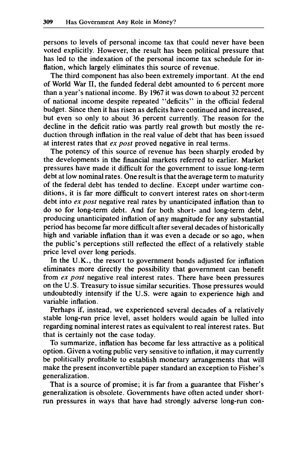persons to levels of personal income tax that could never have been voted explicitly. However, the result has been political pressure that has led to the indexation of the personal income tax schedule for inflation, which largely eliminates this source of revenue.

The third component has also been extremely important. At the end of World War 11, the funded federal debt amounted to 6 percent more than a year's national income. By 1967 it was down to about 32 percent of national income despite repeated "deficits" in the official federal budget. Since then it has risen as deficits have continued and increased, but even so only to about 36 percent currently. The reason for the decline in the deficit ratio was partly real growth but mostly the reduction through inflation in the real value of debt that has been issued at interest rates that **ex** posr proved negative in real terms.

The potency of this source of revenue has been sharply eroded by the developments in the financial markets referred to earlier. Market pressures have made it difficult for the government to issue long-term debt at low nominal rates. One result is that the average term to maturity of the federal debt has tended to decline. Except under wartime conditions, it is far more difficult to convert interest rates on short-term debt into **ex** posr negative real rates by unanticipated inflation than to do so for long-term debt. And for both short- and long-term debt, producing unanticipated inflation of any magnitude for any substantial period has become far more difficult after several decades of historically high and variable inflation than it was even a decade or so ago, when the public's perceptions still reflected the effect of a relatively stable price level over long periods.

In the U.K., the resort to government bonds adjusted for inflation eliminates more directly the possibility that government can benefit from **ex** posr negative real interest rates. There have been pressures on the U.S. Treasury to issue similar securities. Those pressures would undoubtedly intensify if the U.S. were again to experience high and variable inflation.

Perhaps if, instead, we experienced several decades of a relatively stable long-run price level, asset holders would again be lulled into regarding nominal interest rates as equivalent to real interest rates. But that is certainly not the case today.

To summarize, inflation has become far less attractive as a political option. Given a voting public very sensitive to inflation, it may currently be politically profitable to establish monetary arrangements that will make the present inconvertible paper standard an exception to Fisher's generalization.

That is a source of promise; it is far from a guarantee that Fisher's generalization is obsolete. Governments have often acted under shortrun pressures in ways that have had strongly adverse long-run con-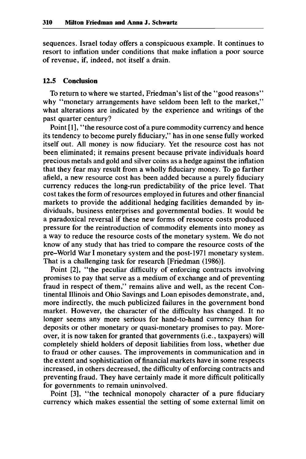sequences. Israel today offers a conspicuous example. It continues to resort to inflation under conditions that make inflation a poor source of revenue, if, indeed, not itself a drain.

### *12.5* **Conclusion**

To return to where we started, Friedman's list of the "good reasons" why "monetary arrangements have seldom been left to the market," what alterations are indicated by the experience and writings of the past quarter century?

Point [1], "the resource cost of a pure commodity currency and hence its tendency to become purely fiduciary," has in one sense fully worked itself out. All money is now fiduciary. Yet the resource cost has not been eliminated; it remains present because private individuals hoard precious metals and gold and silver coins as a hedge against the inflation that they fear may result from a wholly fiduciary money. To go farther afield, a new resource cost has been added because a purely fiduciary currency reduces the long-run predictability of the price level. That cost takes the form of resources employed in futures and other financial markets to provide the additional hedging facilities demanded by individuals, business enterprises and governmental bodies. It would be a paradoxical reversal if these new forms of resource costs produced pressure for the reintroduction of commodity elements into money as a way to reduce the resource costs of the monetary system. We do not know of any study that has tried to compare the resource costs of the pre-World War I monetary system and the post-1971 monetary system. That is a challenging task for research [Friedman (1986)l.

Point **[2],** "the peculiar difficulty of enforcing contracts involving promises to pay that serve as a medium of exchange and of preventing fraud in respect of them," remains alive and well, as the recent Continental Illinois and Ohio Savings and Loan episodes demonstrate, and, more indirectly, the much publicized failures in the government bond market. However, the character of the difficulty has changed. It no longer seems any more serious for hand-to-hand currency than for deposits or other monetary or quasi-monetary promises to pay. Moreover, it is now taken for granted that governments (i.e., taxpayers) will completely shield holders of deposit liabilities from loss, whether due to fraud or other causes. The improvements in communication and in the extent and sophistication of financial markets have in some respects increased, in others decreased, the difficulty of enforcing contracts and preventing fraud. They have certainly made it more difficult politically for governments to remain uninvolved.

Point **[3],** "the technical monopoly character of a pure fiduciary currency which makes essential the setting of some external limit on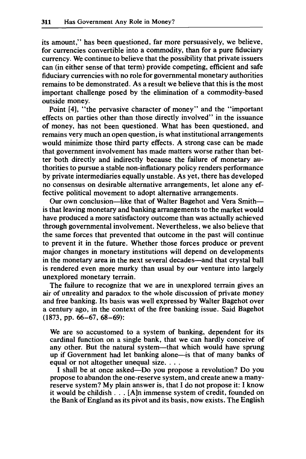its amount," has been questioned, far more persuasively, we believe, for currencies convertible into a commodity, than for a pure fiduciary currency. We continue to believe that the possibility that private issuers can (in either sense of that term) provide competing, efficient and safe fiduciary currencies with no role for governmental monetary authorities remains to be demonstrated. As a result we believe that this is the most important challenge posed by the elimination of a commodity-based outside money.

Point **[4],** "the pervasive character of money" and the "important effects on parties other than those directly involved" in the issuance of money, has not been questioned. What has been questioned, and remains very much an open question, is what institutional arrangements would minimize those third party effects. A strong case can be made that government involvement has made matters worse rather than better both directly and indirectly because the failure of monetary authorities to pursue a stable non-inflationary policy renders performance by private intermediaries equally unstable. As yet, there has developed no consensus on desirable alternative arrangements, let alone any effective political movement to adopt alternative arrangements.

Our own conclusion—like that of Walter Bagehot and Vera Smith is that leaving monetary and banking arrangements to the market would have produced a more satisfactory outcome than was actually achieved through governmental involvement. Nevertheless, we also believe that the same forces that prevented that outcome in the past will continue to prevent it in the future. Whether those forces produce or prevent major changes in monetary institutions will depend on developments in the monetary area in the next several decades-and that crystal ball is rendered even more murky than usual by our venture into largely unexplored monetary terrain.

The failure to recognize that we are in unexplored terrain gives an air of unreality and paradox to the whole discussion **of** private money and free banking. Its basis was well expressed by Walter Bagehot over a century ago, in the context of the free banking issue. Said Bagehot **(1873,** pp. *66-67,* 68-69):

We are so accustomed to a system of banking, dependent for its cardinal function on a single bank, that we can hardly conceive of any other. But the natural system—that which would have sprung up if Government had let banking alone—is that of many banks of equal or not altogether unequal size...

I shall be at once asked-Do you propose a revolution? Do you propose to abandon the one-reserve system, and create anew a manyreserve system? My plain answer is, that I do not propose it: I know it would be childish . . . [A]n immense system of credit, founded on the Bank of England as its pivot and its basis, now exists. The English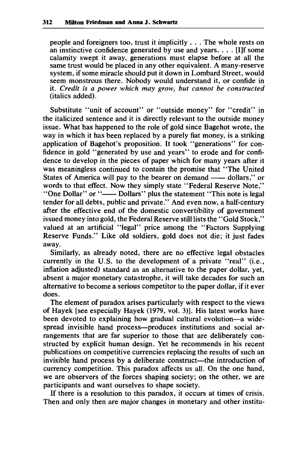people and foreigners too, trust it implicitly . . . The whole rests on an instinctive confidence generated by use and years. . . . [I]f some calamity swept it away, generations must elapse before at all the same trust would be placed in any other equivalent. A many-reserve system, if some miracle should put it down in Lombard Street, would seem monstrous there. Nobody would understand it, or confide in it. *Credit is a power which may grow, but cannot be constructed*  (italics added).

Substitute "unit of account" or "outside money" for "credit" in the italicized sentence and it is directly relevant to the outside money issue. What has happened to the role of gold since Bagehot wrote, the way in which it has been replaced by a purely fiat money, is a striking application of Bagehot's proposition. It took "generations" for con-<br>fidence in gold "generated by use and years" to erode and for confi-<br>dence to develop in the pieces of paper which for many years after it<br>was meaningles fidence in gold "generated by use and years" to erode and for confidence to develop in the pieces of paper which for many years after it was meaningless continued to contain the promise that "The United words to that effect. Now they simply state "Federal Reserve Note," "One Dollar" or "—— Dollars" plus the statement "This note is legal tender for all debts, public and private." And even now, a half-century after the effective end of the domestic convertibility of government issued money into gold, the Federal Reserve still lists the "Gold Stock," valued at an artificial "legal" price among the "Factors Supplying Reserve Funds." Like old soldiers, gold does not die; it just fades away.

Similarly, as already noted, there are no effective legal obstacles currently in the U.S. to the development of a private "real" (i.e., inflation adjusted) standard as an alternative to the paper dollar, yet, absent a major monetary catastrophe, it will take decades for such an alternative to become a serious competitor to the paper dollar, if it ever does.

The element of paradox arises particularly with respect to the views of Hayek [see especially Hayek (1979, vol. **3)].** His latest works have been devoted to explaining how gradual cultural evolution—a widespread invisible hand process-produces institutions and social arrangements that are far superior to those that are deliberately constructed by explicit human design. Yet he recommends in his recent publications on competitive currencies replacing the results of such an invisible hand process by a deliberate construct—the introduction of currency competition. This paradox affects us all. On the one hand, we are observers of the forces shaping society; on the other, we are participants and want ourselves to shape society.

If there is a resolution to this paradox, it occurs at times of crisis. Then and only then are major changes in monetary and other institu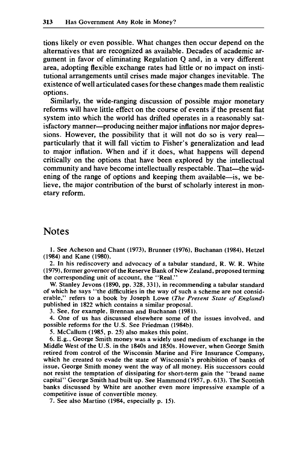tions likely or even possible. What changes then occur depend on the alternatives that are recognized as available. Decades of academic argument in favor of eliminating Regulation Q and, in a very different area, adopting flexible exchange rates had little or no impact on institutional arrangements until crises made major changes inevitable. The existence of well articulated cases for these changes made them realistic options.

Similarly, the wide-ranging discussion of possible major monetary reforms will have little effect on the course of events if the present fiat system into which the world has drifted operates in a reasonably satisfactory manner--producing neither major inflations nor major depressions. However, the possibility that it will not do so is very realparticularly that it will fall victim to Fisher's generalization and lead to major inflation. When and if it does, what happens will depend critically on the options that have been explored by the intellectual community and have become intellectually respectable. That—the widening of the range of options and keeping them available—is, we believe, the major contribution of the burst of scholarly interest in monetary reform.

# **Notes**

**1.** See Acheson and Chant **(1973),** Brunner **(1976),** Buchanan **(1984),** Hetzel ( **1984)** and Kane **(1 980).** 

**2.** In his rediscovery and advocacy of a tabular standard, R. W. R. White **(1979),** former governor of the Reserve Bank of New Zealand, proposed terming the corresponding unit of account, the "Real."

W. Stanley Jevons **(1890,** pp. **328, 331),** in recommending a tabular standard **of** which he says "the difficulties in the way of such a scheme are not considerable," refers to a book by Joseph Lowe *(The Present State of England)*  published in **1822** which contains a similar proposal.

**3.** See, for example, Brennan and Buchanan **(1981).** 

**4.** One of **us** has discussed elsewhere some of the issues involved, and possible reforms for the U.S. See Friedman **(1984b).** 

5. McCallum **(1985,** p. **25)** also makes this point.

**6.** E.g., George Smith money was a widely used medium of exchange in the Middle West of the U.S. in the **1840s** and **1850s.** However, when George Smith retired from control of the Wisconsin Marine and Fire Insurance Company, which he created to evade the state of Wisconsin's prohibition of banks of issue, George Smith money went the way of all money. His successors could not resist the temptation of dissipating for short-term gain the "brand name capital" George Smith had built up. See Hammond **(1957,** p. **613).** The Scottish banks discussed by White are another even more impressive example of a competitive issue of convertible money.

**7.** See **also** Martino **(1984,** especially p. **15).**